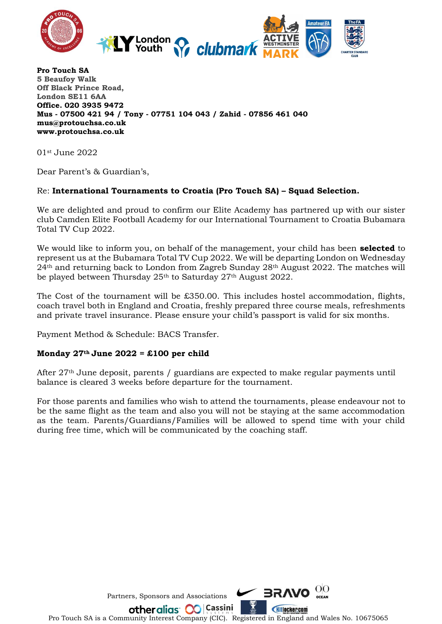

**Pro Touch SA 5 Beaufoy Walk Off Black Prince Road, London SE11 6AA Office. 020 3935 9472 Mus - 07500 421 94 / Tony - 07751 104 043 / Zahid - 07856 461 040 mus@protouchsa.co.uk www.protouchsa.co.uk**

01st June 2022

Dear Parent's & Guardian's,

## Re: **International Tournaments to Croatia (Pro Touch SA) – Squad Selection.**

We are delighted and proud to confirm our Elite Academy has partnered up with our sister club Camden Elite Football Academy for our International Tournament to Croatia Bubamara Total TV Cup 2022.

We would like to inform you, on behalf of the management, your child has been **selected** to represent us at the Bubamara Total TV Cup 2022. We will be departing London on Wednesday 24th and returning back to London from Zagreb Sunday 28th August 2022. The matches will be played between Thursday 25th to Saturday 27th August 2022.

The Cost of the tournament will be  $£350.00$ . This includes hostel accommodation, flights, coach travel both in England and Croatia, freshly prepared three course meals, refreshments and private travel insurance. Please ensure your child's passport is valid for six months.

Payment Method & Schedule: BACS Transfer.

## **Monday 27th June 2022 = £100 per child**

After 27<sup>th</sup> June deposit, parents / guardians are expected to make regular payments until balance is cleared 3 weeks before departure for the tournament.

For those parents and families who wish to attend the tournaments, please endeavour not to be the same flight as the team and also you will not be staying at the same accommodation as the team. Parents/Guardians/Families will be allowed to spend time with your child during free time, which will be communicated by the coaching staff.